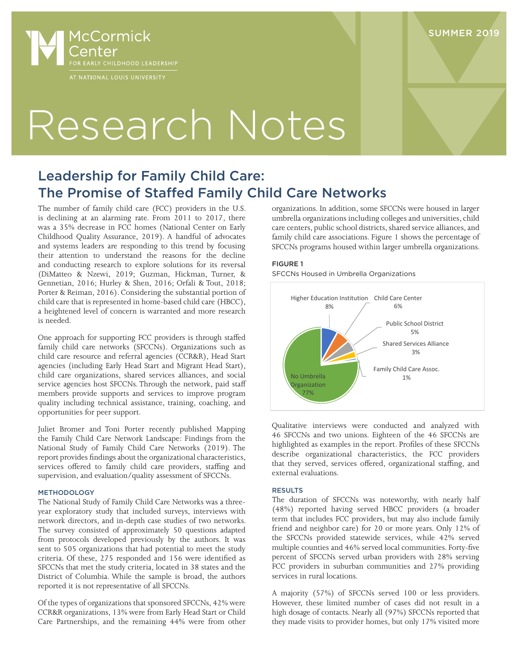

# Research Notes

## Leadership for Family Child Care: The Promise of Staffed Family Child Care Networks

The number of family child care (FCC) providers in the U.S. is declining at an alarming rate. From 2011 to 2017, there was a 35% decrease in FCC homes (National Center on Early Childhood Quality Assurance, 2019). A handful of advocates and systems leaders are responding to this trend by focusing their attention to understand the reasons for the decline and conducting research to explore solutions for its reversal (DiMatteo & Nzewi, 2019; Guzman, Hickman, Turner, & Gennetian, 2016; Hurley & Shen, 2016; Orfali & Tout, 2018; Porter & Reiman, 2016). Considering the substantial portion of child care that is represented in home-based child care (HBCC), a heightened level of concern is warranted and more research is needed.

One approach for supporting FCC providers is through staffed family child care networks (SFCCNs). Organizations such as child care resource and referral agencies (CCR&R), Head Start agencies (including Early Head Start and Migrant Head Start), child care organizations, shared services alliances, and social service agencies host SFCCNs. Through the network, paid staff members provide supports and services to improve program quality including technical assistance, training, coaching, and opportunities for peer support.

Juliet Bromer and Toni Porter recently published Mapping the Family Child Care Network Landscape: Findings from the National Study of Family Child Care Networks (2019). The report provides findings about the organizational characteristics, services offered to family child care providers, staffing and supervision, and evaluation/quality assessment of SFCCNs.

#### METHODOLOGY

The National Study of Family Child Care Networks was a threeyear exploratory study that included surveys, interviews with network directors, and in-depth case studies of two networks. The survey consisted of approximately 50 questions adapted from protocols developed previously by the authors. It was sent to 505 organizations that had potential to meet the study criteria. Of these, 275 responded and 156 were identified as SFCCNs that met the study criteria, located in 38 states and the District of Columbia. While the sample is broad, the authors reported it is not representative of all SFCCNs.

Of the types of organizations that sponsored SFCCNs, 42% were CCR&R organizations, 13% were from Early Head Start or Child Care Partnerships, and the remaining 44% were from other

organizations. In addition, some SFCCNs were housed in larger umbrella organizations including colleges and universities, child care centers, public school districts, shared service alliances, and family child care associations. Figure 1 shows the percentage of SFCCNs programs housed within larger umbrella organizations.

#### FIGURE 1

SFCCNs Housed in Umbrella Organizations



Qualitative interviews were conducted and analyzed with 46 SFCCNs and two unions. Eighteen of the 46 SFCCNs are highlighted as examples in the report. Profiles of these SFCCNs describe organizational characteristics, the FCC providers that they served, services offered, organizational staffing, and external evaluations.

#### RESULTS

The duration of SFCCNs was noteworthy, with nearly half (48%) reported having served HBCC providers (a broader term that includes FCC providers, but may also include family friend and neighbor care) for 20 or more years. Only 12% of the SFCCNs provided statewide services, while 42% served multiple counties and 46% served local communities. Forty-five percent of SFCCNs served urban providers with 28% serving FCC providers in suburban communities and 27% providing services in rural locations.

A majority (57%) of SFCCNs served 100 or less providers. However, these limited number of cases did not result in a high dosage of contacts. Nearly all (97%) SFCCNs reported that they made visits to provider homes, but only 17% visited more

### SUMMER 2019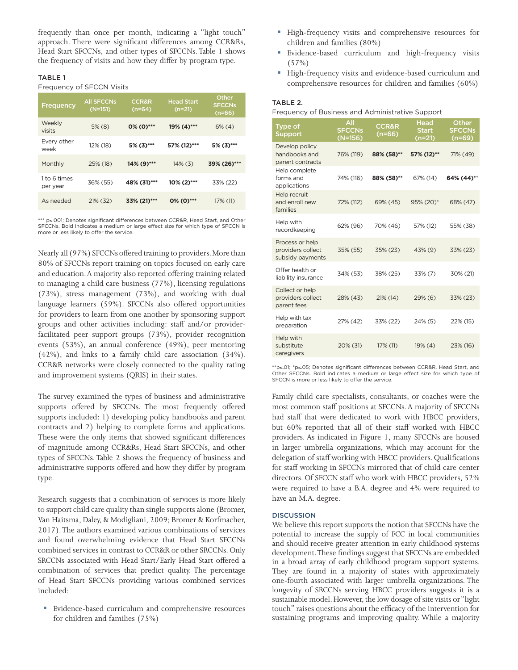frequently than once per month, indicating a "light touch" approach. There were significant differences among CCR&Rs, Head Start SFCCNs, and other types of SFCCNs. Table 1 shows the frequency of visits and how they differ by program type.

#### TABLE 1

#### Frequency of SFCCN Visits

| Frequency                | <b>All SFCCNs</b><br>$(N=151)$ | <b>CCR&amp;R</b><br>$(n=64)$ | <b>Head Start</b><br>$(n=21)$ | Other<br><b>SFCCNs</b><br>$(n=66)$ |
|--------------------------|--------------------------------|------------------------------|-------------------------------|------------------------------------|
| Weekly<br>visits         | $5\%$ (8)                      | $0\%$ (0)***                 | 19% (4)***                    | $6\%$ (4)                          |
| Every other<br>week      | 12% (18)                       | 5% (3)***                    | 57% (12)***                   | 5% (3)***                          |
| Monthly                  | 25% (18)                       | 14% (9)***                   | $14\%$ (3)                    | 39% (26)***                        |
| 1 to 6 times<br>per year | 36% (55)                       | 48% (31)***                  | $10\%$ (2)***                 | 33% (22)                           |
| As needed                | 21% (32)                       | 33% (21)***                  | $0\%$ (0)***                  | 17% (11)                           |

\*\*\* p≤.001; Denotes significant differences between CCR&R, Head Start, and Other SFCCNs. Bold indicates a medium or large effect size for which type of SFCCN is more or less likely to offer the service.

Nearly all (97%) SFCCNs offered training to providers. More than 80% of SFCCNs report training on topics focused on early care and education. A majority also reported offering training related to managing a child care business (77%), licensing regulations (73%), stress management (73%), and working with dual language learners (59%). SFCCNs also offered opportunities for providers to learn from one another by sponsoring support groups and other activities including: staff and/or providerfacilitated peer support groups (73%), provider recognition events (53%), an annual conference (49%), peer mentoring (42%), and links to a family child care association (34%). CCR&R networks were closely connected to the quality rating and improvement systems (QRIS) in their states.

The survey examined the types of business and administrative supports offered by SFCCNs. The most frequently offered supports included: 1) developing policy handbooks and parent contracts and 2) helping to complete forms and applications. These were the only items that showed significant differences of magnitude among CCR&Rs, Head Start SFCCNs, and other types of SFCCNs. Table 2 shows the frequency of business and administrative supports offered and how they differ by program type.

Research suggests that a combination of services is more likely to support child care quality than single supports alone (Bromer, Van Haitsma, Daley, & Modigliani, 2009; Bromer & Korfmacher, 2017). The authors examined various combinations of services and found overwhelming evidence that Head Start SFCCNs combined services in contrast to CCR&R or other SRCCNs. Only SRCCNs associated with Head Start/Early Head Start offered a combination of services that predict quality. The percentage of Head Start SFCCNs providing various combined services included:

 Evidence-based curriculum and comprehensive resources for children and families (75%)

- High-frequency visits and comprehensive resources for children and families (80%)
- Evidence-based curriculum and high-frequency visits  $(57%)$
- High-frequency visits and evidence-based curriculum and comprehensive resources for children and families (60%)

#### TABLE 2.

Frequency of Business and Administrative Support

| <b>Type of</b><br>Support                                | AII<br><b>SFCCNs</b><br>$(N=156)$ | <b>CCR&amp;R</b><br>$(n=66)$ | <b>Head</b><br><b>Start</b><br>$(n=21)$ | Other<br><b>SFCCNs</b><br>$(n=69)$ |
|----------------------------------------------------------|-----------------------------------|------------------------------|-----------------------------------------|------------------------------------|
| Develop policy<br>handbooks and<br>parent contracts      | 76% (119)                         | 88% (58)**                   | 57% (12)**                              | 71% (49)                           |
| Help complete<br>forms and<br>applications               | 74% (116)                         | 88% (58)**                   | 67% (14)                                | 64% (44)**                         |
| Help recruit<br>and enroll new<br>families               | 72% (112)                         | 69% (45)                     | 95% (20)*                               | 68% (47)                           |
| Help with<br>recordkeeping                               | 62% (96)                          | 70% (46)                     | 57% (12)                                | 55% (38)                           |
| Process or help<br>providers collect<br>subsidy payments | 35% (55)                          | 35% (23)                     | $43\%$ (9)                              | 33% (23)                           |
| Offer health or<br>liability insurance                   | 34% (53)                          | 38% (25)                     | 33% (7)                                 | 30% (21)                           |
| Collect or help<br>providers collect<br>parent fees      | 28% (43)                          | 21% (14)                     | $29\%$ (6)                              | 33% (23)                           |
| Help with tax<br>preparation                             | 27% (42)                          | 33% (22)                     | 24% (5)                                 | 22% (15)                           |
| Help with<br>substitute<br>caregivers                    | 20% (31)                          | 17% (11)                     | 19% (4)                                 | 23% (16)                           |

\*\*p≤.01; \*p≤.05; Denotes significant differences between CCR&R, Head Start, and Other SFCCNs. Bold indicates a medium or large effect size for which type of SFCCN is more or less likely to offer the service.

Family child care specialists, consultants, or coaches were the most common staff positions at SFCCNs. A majority of SFCCNs had staff that were dedicated to work with HBCC providers, but 60% reported that all of their staff worked with HBCC providers. As indicated in Figure 1, many SFCCNs are housed in larger umbrella organizations, which may account for the delegation of staff working with HBCC providers. Qualifications for staff working in SFCCNs mirrored that of child care center directors. Of SFCCN staff who work with HBCC providers, 52% were required to have a B.A. degree and 4% were required to have an M.A. degree.

#### **DISCUSSION**

We believe this report supports the notion that SFCCNs have the potential to increase the supply of FCC in local communities and should receive greater attention in early childhood systems development. These findings suggest that SFCCNs are embedded in a broad array of early childhood program support systems. They are found in a majority of states with approximately one-fourth associated with larger umbrella organizations. The longevity of SRCCNs serving HBCC providers suggests it is a sustainable model. However, the low dosage of site visits or "light touch" raises questions about the efficacy of the intervention for sustaining programs and improving quality. While a majority